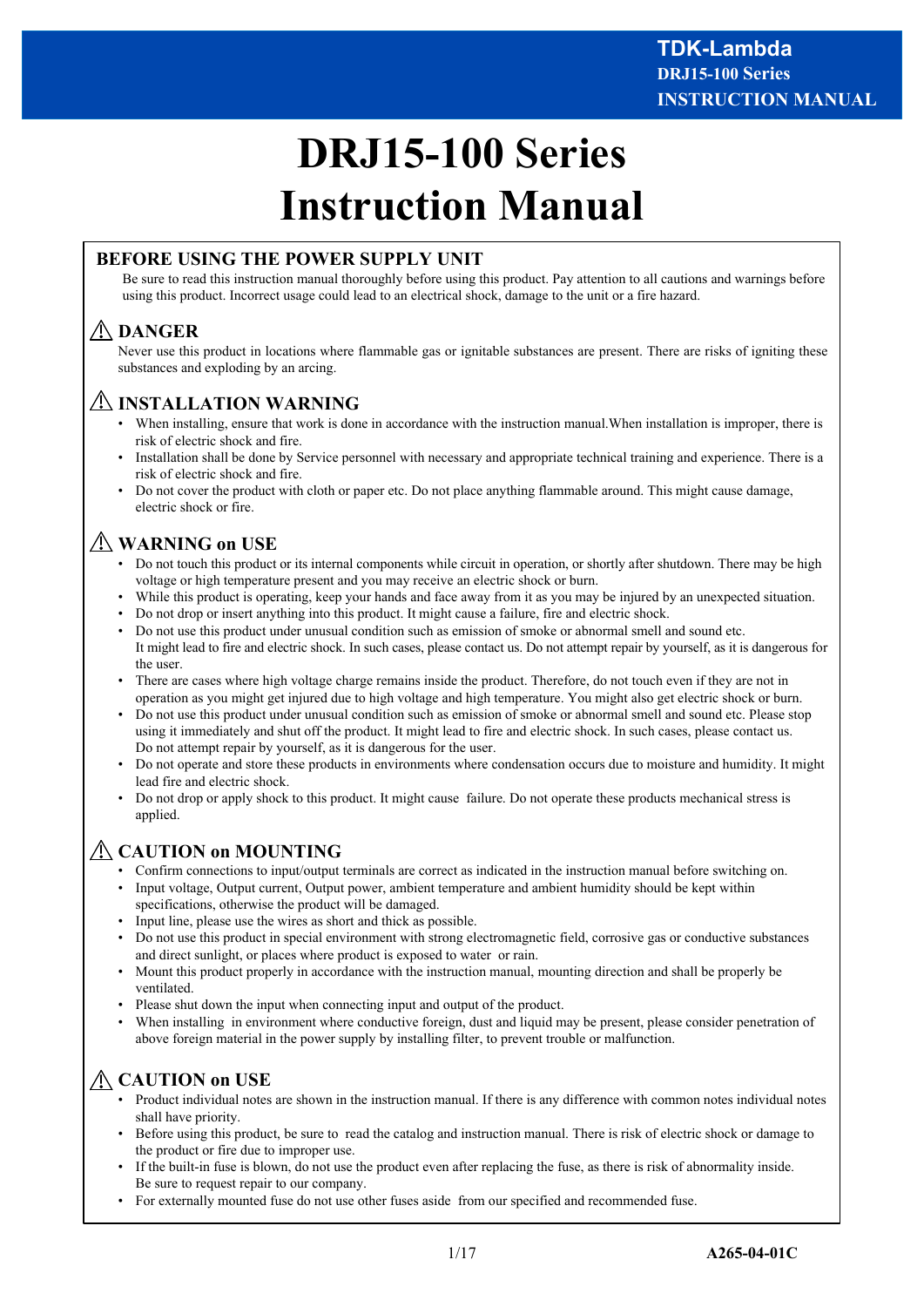# **DRJ15-100 Series Instruction Manual**

# **BEFORE USING THE POWER SUPPLY UNIT**

Be sure to read this instruction manual thoroughly before using this product. Pay attention to all cautions and warnings before using this product. Incorrect usage could lead to an electrical shock, damage to the unit or a fire hazard.

# **DANGER**

Never use this product in locations where flammable gas or ignitable substances are present. There are risks of igniting these substances and exploding by an arcing.

# **INSTALLATION WARNING**

- When installing, ensure that work is done in accordance with the instruction manual.When installation is improper, there is risk of electric shock and fire.
- Installation shall be done by Service personnel with necessary and appropriate technical training and experience. There is a risk of electric shock and fire.
- Do not cover the product with cloth or paper etc. Do not place anything flammable around. This might cause damage, electric shock or fire.

# **WARNING on USE**

- Do not touch this product or its internal components while circuit in operation, or shortly after shutdown. There may be high voltage or high temperature present and you may receive an electric shock or burn.
- While this product is operating, keep your hands and face away from it as you may be injured by an unexpected situation.
- Do not drop or insert anything into this product. It might cause a failure, fire and electric shock.
- Do not use this product under unusual condition such as emission of smoke or abnormal smell and sound etc. It might lead to fire and electric shock. In such cases, please contact us. Do not attempt repair by yourself, as it is dangerous for the user.
- There are cases where high voltage charge remains inside the product. Therefore, do not touch even if they are not in operation as you might get injured due to high voltage and high temperature. You might also get electric shock or burn.
- Do not use this product under unusual condition such as emission of smoke or abnormal smell and sound etc. Please stop using it immediately and shut off the product. It might lead to fire and electric shock. In such cases, please contact us. Do not attempt repair by yourself, as it is dangerous for the user.
- Do not operate and store these products in environments where condensation occurs due to moisture and humidity. It might lead fire and electric shock.
- Do not drop or apply shock to this product. It might cause failure. Do not operate these products mechanical stress is applied.

# **CAUTION on MOUNTING**

- Confirm connections to input/output terminals are correct as indicated in the instruction manual before switching on.
- Input voltage, Output current, Output power, ambient temperature and ambient humidity should be kept within specifications, otherwise the product will be damaged.
- Input line, please use the wires as short and thick as possible.
- Do not use this product in special environment with strong electromagnetic field, corrosive gas or conductive substances and direct sunlight, or places where product is exposed to water or rain.
- Mount this product properly in accordance with the instruction manual, mounting direction and shall be properly be ventilated.
- Please shut down the input when connecting input and output of the product.
- When installing in environment where conductive foreign, dust and liquid may be present, please consider penetration of above foreign material in the power supply by installing filter, to prevent trouble or malfunction.

# **CAUTION on USE**

- Product individual notes are shown in the instruction manual. If there is any difference with common notes individual notes shall have priority.
- Before using this product, be sure to read the catalog and instruction manual. There is risk of electric shock or damage to the product or fire due to improper use.
- If the built-in fuse is blown, do not use the product even after replacing the fuse, as there is risk of abnormality inside. Be sure to request repair to our company.
- For externally mounted fuse do not use other fuses aside from our specified and recommended fuse.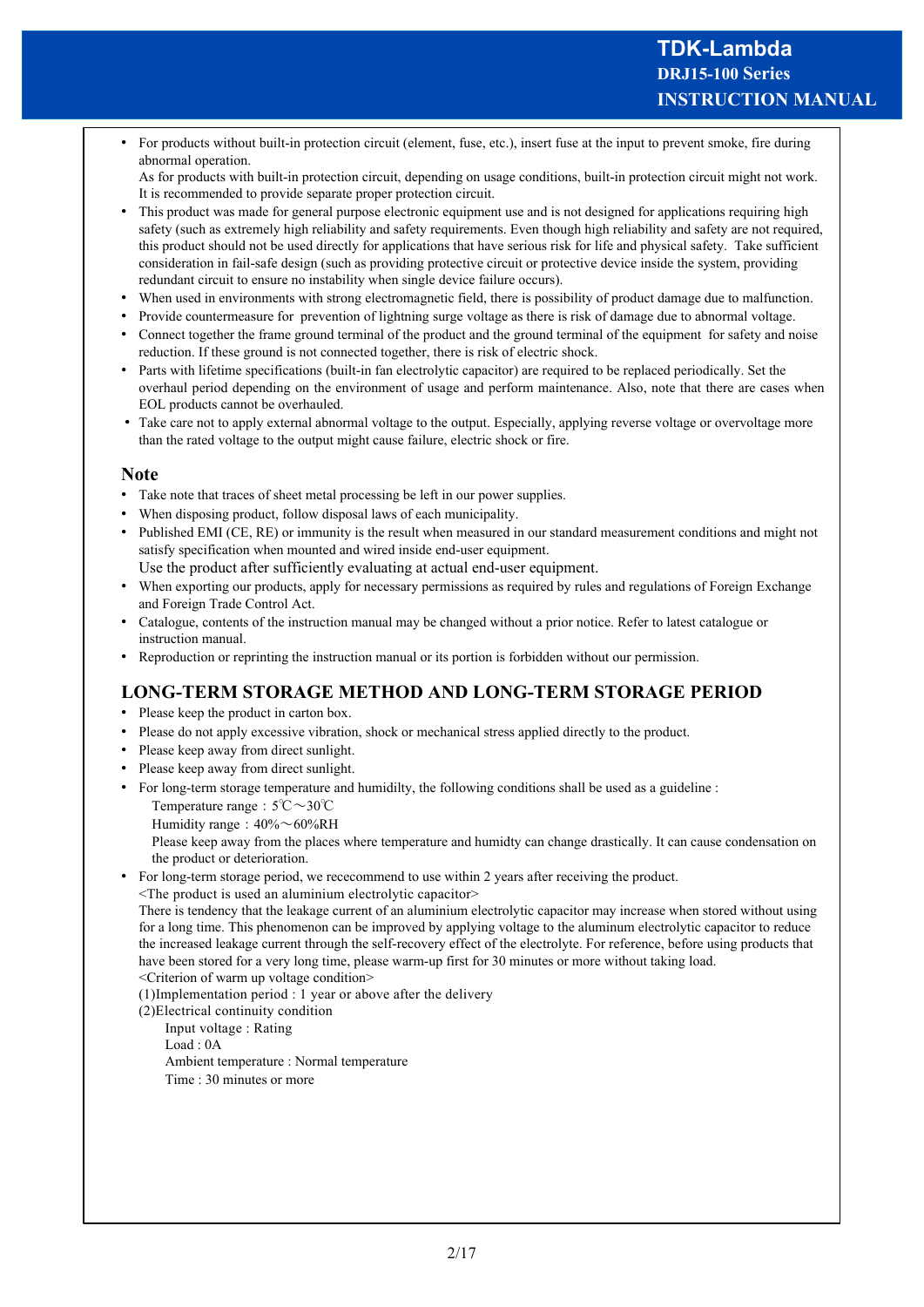• For products without built-in protection circuit (element, fuse, etc.), insert fuse at the input to prevent smoke, fire during abnormal operation.

As for products with built-in protection circuit, depending on usage conditions, built-in protection circuit might not work. It is recommended to provide separate proper protection circuit.

- This product was made for general purpose electronic equipment use and is not designed for applications requiring high safety (such as extremely high reliability and safety requirements. Even though high reliability and safety are not required, this product should not be used directly for applications that have serious risk for life and physical safety. Take sufficient consideration in fail-safe design (such as providing protective circuit or protective device inside the system, providing redundant circuit to ensure no instability when single device failure occurs).
- When used in environments with strong electromagnetic field, there is possibility of product damage due to malfunction.
- Provide countermeasure for prevention of lightning surge voltage as there is risk of damage due to abnormal voltage.
- Connect together the frame ground terminal of the product and the ground terminal of the equipment for safety and noise reduction. If these ground is not connected together, there is risk of electric shock.
- Parts with lifetime specifications (built-in fan electrolytic capacitor) are required to be replaced periodically. Set the overhaul period depending on the environment of usage and perform maintenance. Also, note that there are cases when EOL products cannot be overhauled.
- Take care not to apply external abnormal voltage to the output. Especially, applying reverse voltage or overvoltage more than the rated voltage to the output might cause failure, electric shock or fire.

#### **Note**

- Take note that traces of sheet metal processing be left in our power supplies.
- When disposing product, follow disposal laws of each municipality.
- Published EMI (CE, RE) or immunity is the result when measured in our standard measurement conditions and might not satisfy specification when mounted and wired inside end-user equipment.
- Use the product after sufficiently evaluating at actual end-user equipment.
- When exporting our products, apply for necessary permissions as required by rules and regulations of Foreign Exchange and Foreign Trade Control Act.
- Catalogue, contents of the instruction manual may be changed without a prior notice. Refer to latest catalogue or instruction manual.
- Reproduction or reprinting the instruction manual or its portion is forbidden without our permission.

### **LONG-TERM STORAGE METHOD AND LONG-TERM STORAGE PERIOD**

- Please keep the product in carton box.
- Please do not apply excessive vibration, shock or mechanical stress applied directly to the product.
- Please keep away from direct sunlight.
- Please keep away from direct sunlight.
- For long-term storage temperature and humidilty, the following conditions shall be used as a guideline :
	- Temperature range : 5℃~30℃ Humidity range :  $40\% \sim 60\% RH$

Please keep away from the places where temperature and humidty can change drastically. It can cause condensation on the product or deterioration.

• For long-term storage period, we rececommend to use within 2 years after receiving the product.

<The product is used an aluminium electrolytic capacitor>

There is tendency that the leakage current of an aluminium electrolytic capacitor may increase when stored without using for a long time. This phenomenon can be improved by applying voltage to the aluminum electrolytic capacitor to reduce the increased leakage current through the self-recovery effect of the electrolyte. For reference, before using products that have been stored for a very long time, please warm-up first for 30 minutes or more without taking load.

<Criterion of warm up voltage condition>

(1)Implementation period : 1 year or above after the delivery

- (2)Electrical continuity condition
	- Input voltage : Rating

Load : 0A

Ambient temperature : Normal temperature Time : 30 minutes or more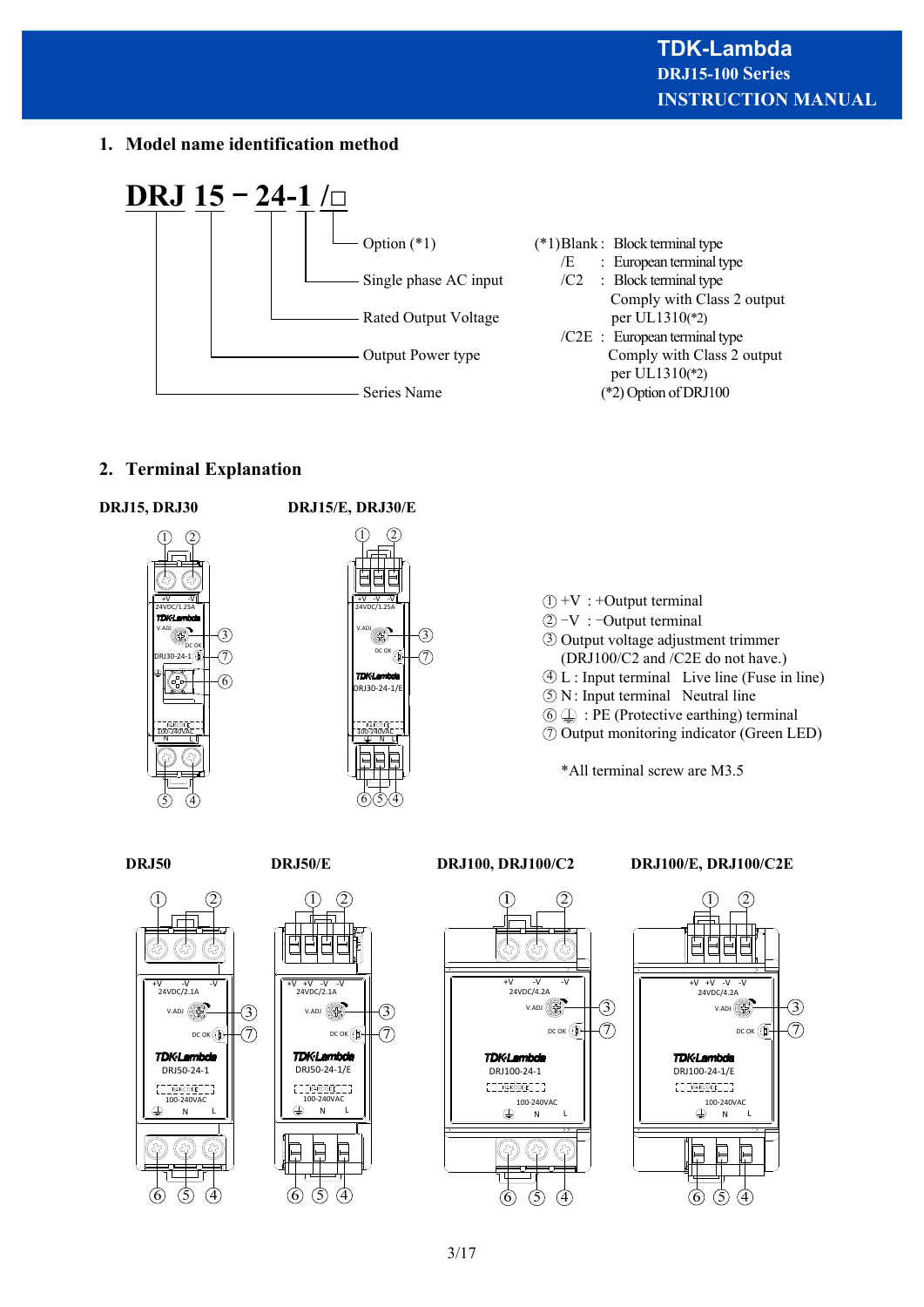**1. Model name identification method**



# **2. Terminal Explanation**





 $\hat{D} + V$ : +Output terminal  $2$  –V : –Output terminal Output voltage adjustment trimmer 3 (DRJ100/C2 and /C2E do not have.)  $\overline{4}$  L : Input terminal Live line (Fuse in line)  $\Im$  N: Input terminal Neutral line  $\textcircled{\scriptsize{1}}$  : PE (Protective earthing) terminal Output monitoring indicator (Green LED) 7

\*All terminal screw are M3.5



#### **DRJ50 DRJ50/E DRJ100, DRJ100/C2 DRJ100/E, DRJ100/C2E**

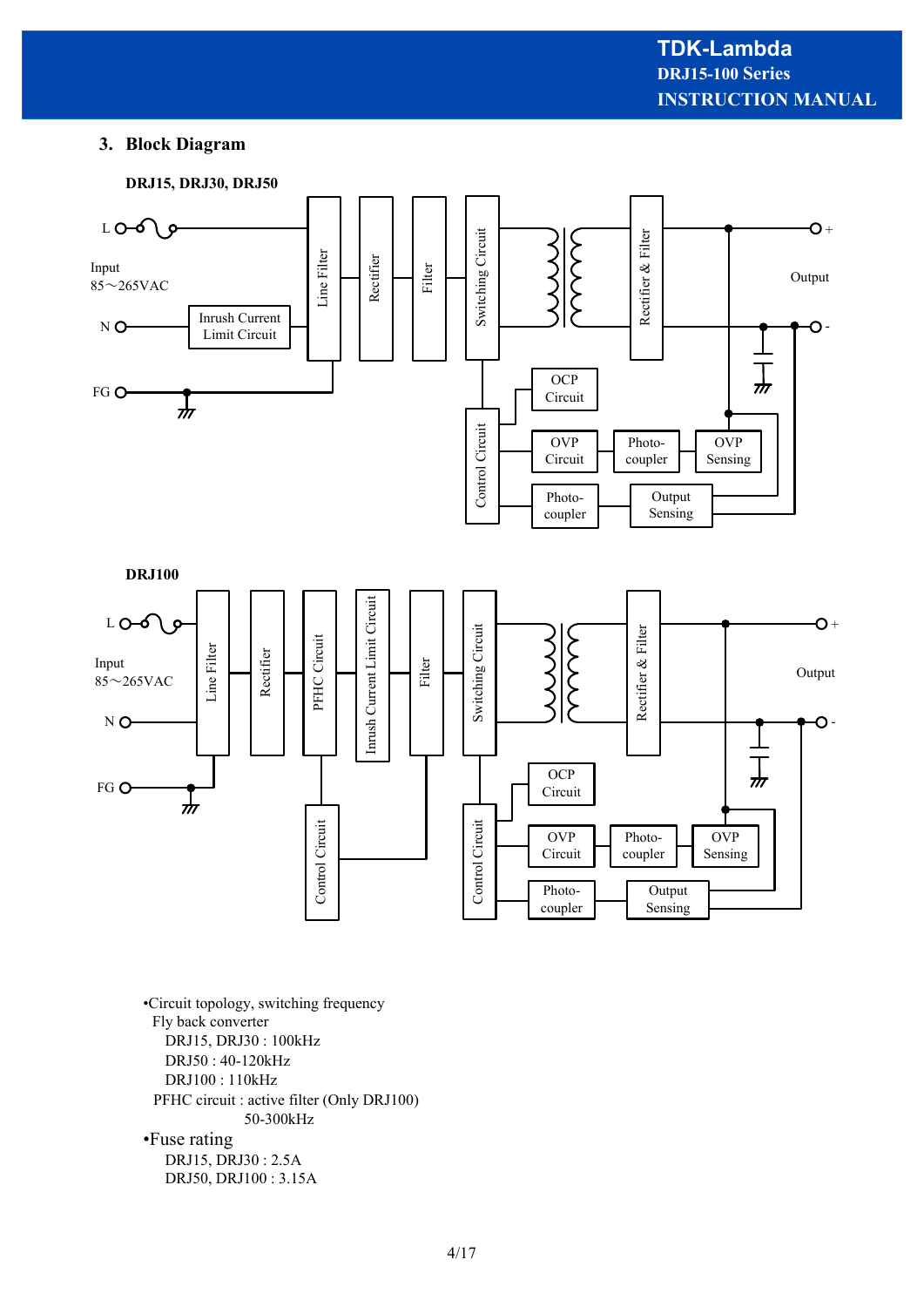#### **3. Block Diagram**



•Circuit topology, switching frequency Fly back converter DRJ15, DRJ30 : 100kHz DRJ50 : 40-120kHz DRJ100 : 110kHz PFHC circuit : active filter (Only DRJ100) 50-300kHz •Fuse rating DRJ15, DRJ30 : 2.5A DRJ50, DRJ100 : 3.15A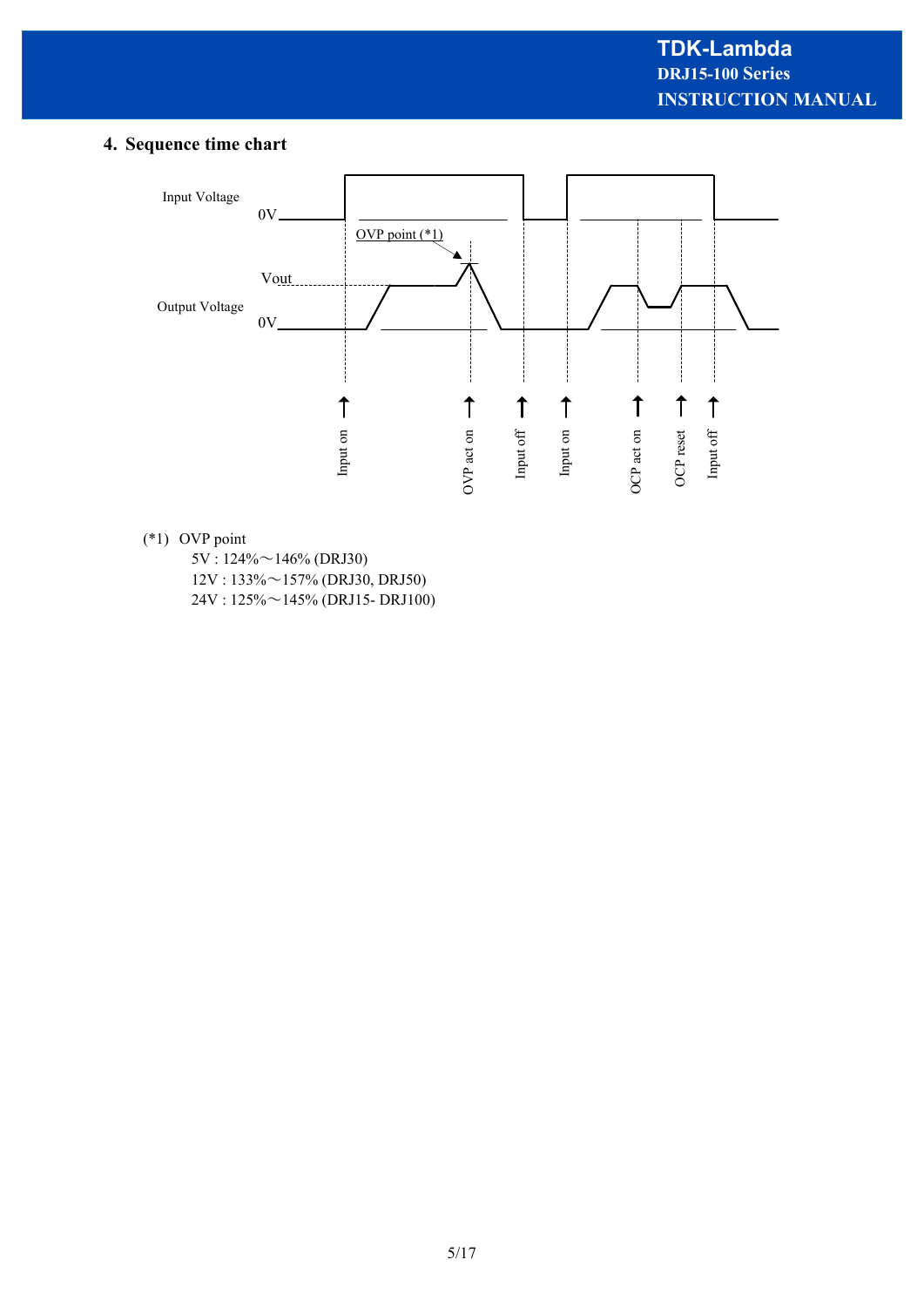# **4. Sequence time chart**



#### (\*1) OVP point

 5V : 124%~146% (DRJ30) 12V : 133%~157% (DRJ30, DRJ50) 24V : 125%~145% (DRJ15- DRJ100)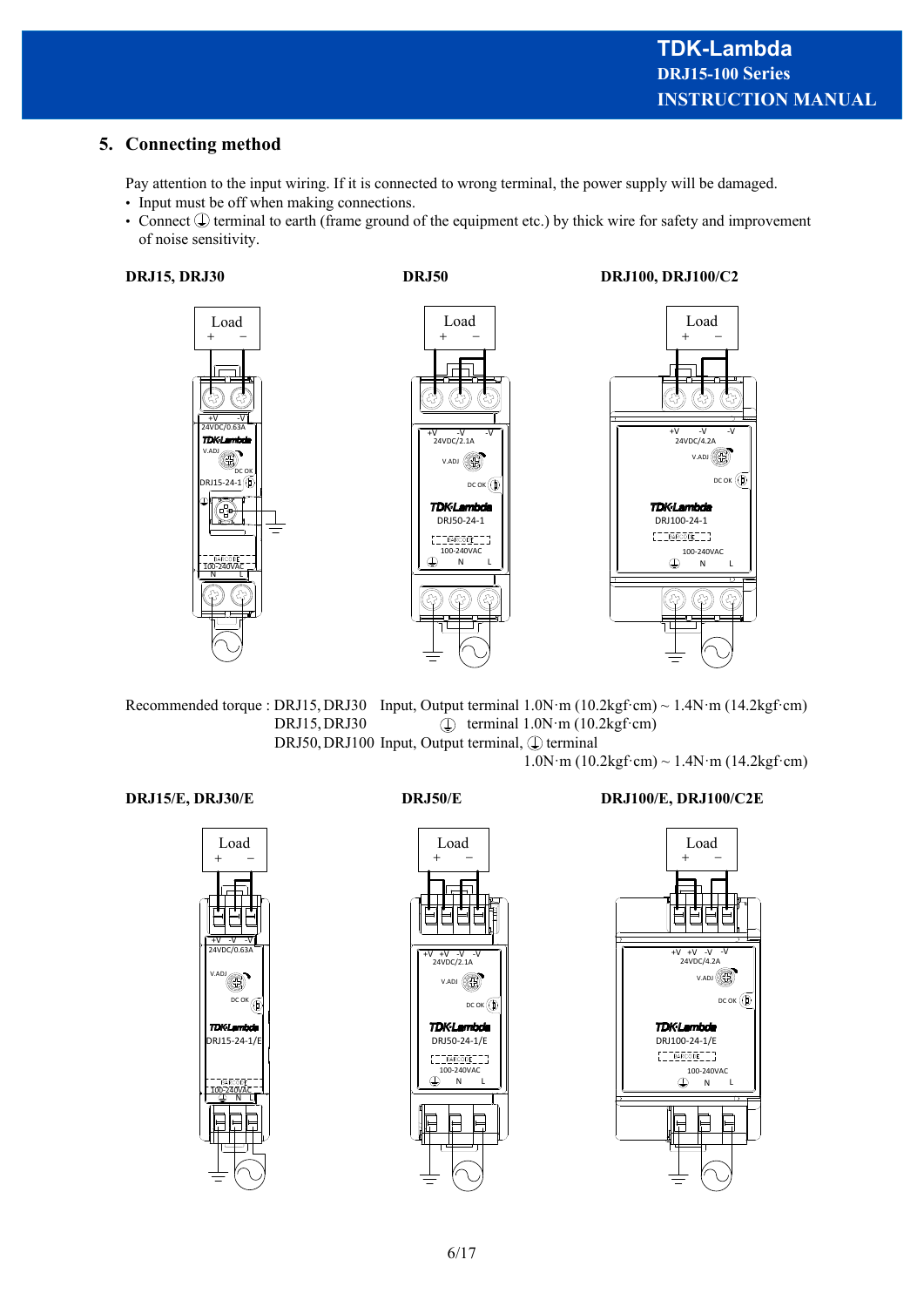# **5. Connecting method**

Pay attention to the input wiring. If it is connected to wrong terminal, the power supply will be damaged.

- Input must be off when making connections.
- Connect  $\mathbb Q$  terminal to earth (frame ground of the equipment etc.) by thick wire for safety and improvement of noise sensitivity.



**DRJ15, DRJ30 DRJ50 DRJ100, DRJ100/C2** 



Recommended torque : DRJ15, DRJ30 Input, Output terminal  $1.0N·m (10.2kgf·cm) \sim 1.4N·m (14.2kgf·cm)$ DRJ15, DRJ30  $\widehat{\mathbb{Q}}$  terminal 1.0N⋅m (10.2kgf⋅cm) DRJ50, DRJ100 Input, Output terminal,  $\mathbb Q$  terminal

 $1.0N \cdot m (10.2 \text{kgf} \cdot \text{cm}) \sim 1.4N \cdot m (14.2 \text{kgf} \cdot \text{cm})$ 





**DRJ15/E, DRJ30/E DRJ50/E DRJ100/E, DRJ100/C2E** 

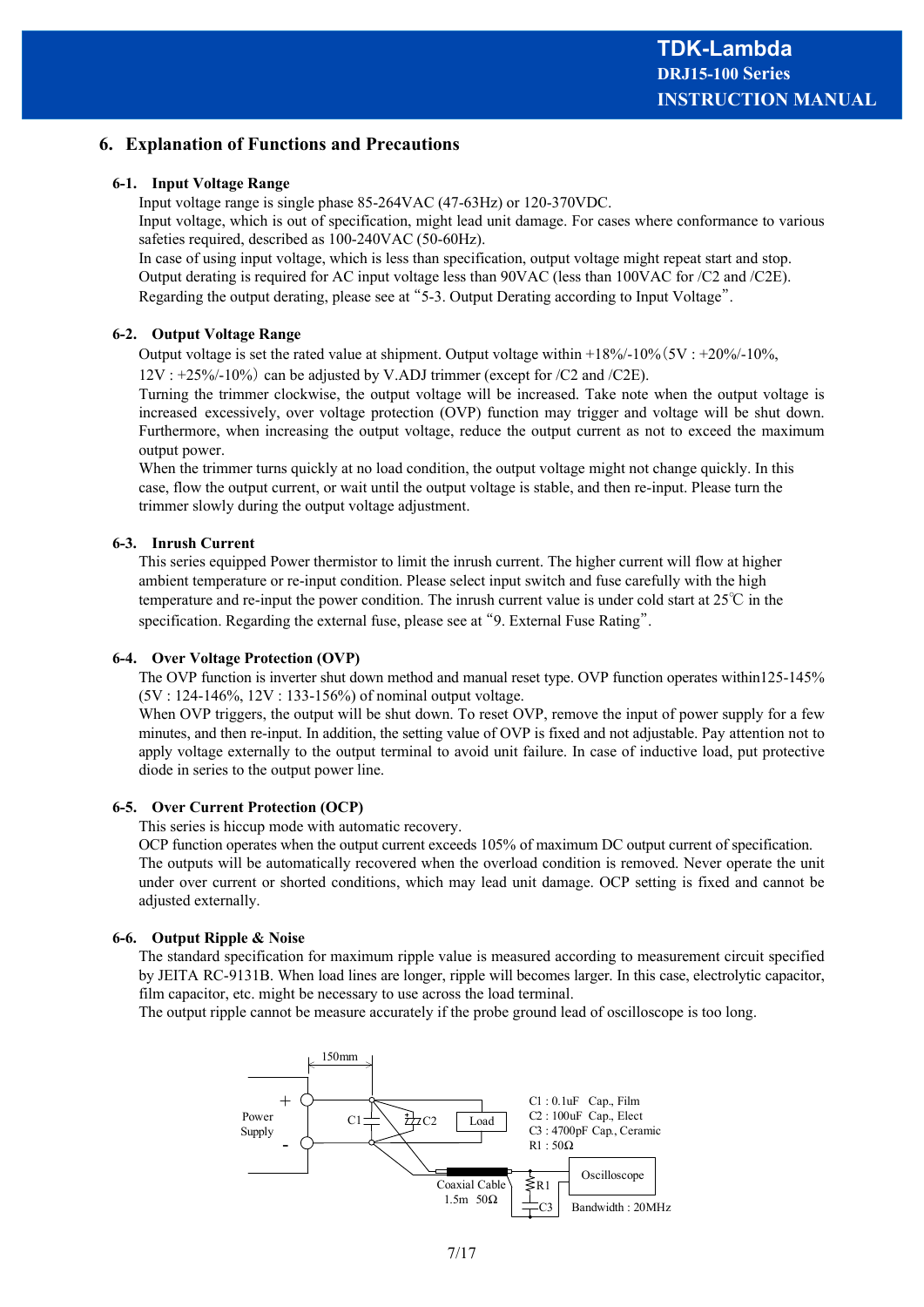#### **6. Explanation of Functions and Precautions**

#### **6-1. Input Voltage Range**

Input voltage range is single phase 85-264VAC (47-63Hz) or 120-370VDC. Input voltage, which is out of specification, might lead unit damage. For cases where conformance to various safeties required, described as 100-240VAC (50-60Hz).

In case of using input voltage, which is less than specification, output voltage might repeat start and stop. Output derating is required for AC input voltage less than 90VAC (less than 100VAC for /C2 and /C2E). Regarding the output derating, please see at "5-3. Output Derating according to Input Voltage".

#### **6-2. Output Voltage Range**

Output voltage is set the rated value at shipment. Output voltage within  $+18\%/10\%/5V : +20\%/10\%,$ 

12V : +25%/-10%) can be adjusted by V.ADJ trimmer (except for /C2 and /C2E).

Turning the trimmer clockwise, the output voltage will be increased. Take note when the output voltage is increased excessively, over voltage protection (OVP) function may trigger and voltage will be shut down. Furthermore, when increasing the output voltage, reduce the output current as not to exceed the maximum output power.

When the trimmer turns quickly at no load condition, the output voltage might not change quickly. In this case, flow the output current, or wait until the output voltage is stable, and then re-input. Please turn the trimmer slowly during the output voltage adjustment.

#### **6-3. Inrush Current**

This series equipped Power thermistor to limit the inrush current. The higher current will flow at higher ambient temperature or re-input condition. Please select input switch and fuse carefully with the high temperature and re-input the power condition. The inrush current value is under cold start at  $25^{\circ}\text{C}$  in the specification. Regarding the external fuse, please see at "9. External Fuse Rating".

#### **6-4. Over Voltage Protection (OVP)**

The OVP function is inverter shut down method and manual reset type. OVP function operates within125-145% (5V : 124-146%, 12V : 133-156%) of nominal output voltage.

When OVP triggers, the output will be shut down. To reset OVP, remove the input of power supply for a few minutes, and then re-input. In addition, the setting value of OVP is fixed and not adjustable. Pay attention not to apply voltage externally to the output terminal to avoid unit failure. In case of inductive load, put protective diode in series to the output power line.

#### **6-5. Over Current Protection (OCP)**

This series is hiccup mode with automatic recovery.

OCP function operates when the output current exceeds 105% of maximum DC output current of specification. The outputs will be automatically recovered when the overload condition is removed. Never operate the unit under over current or shorted conditions, which may lead unit damage. OCP setting is fixed and cannot be adjusted externally.

#### **6-6. Output Ripple & Noise**

The standard specification for maximum ripple value is measured according to measurement circuit specified by JEITA RC-9131B. When load lines are longer, ripple will becomes larger. In this case, electrolytic capacitor, film capacitor, etc. might be necessary to use across the load terminal.

The output ripple cannot be measure accurately if the probe ground lead of oscilloscope is too long.

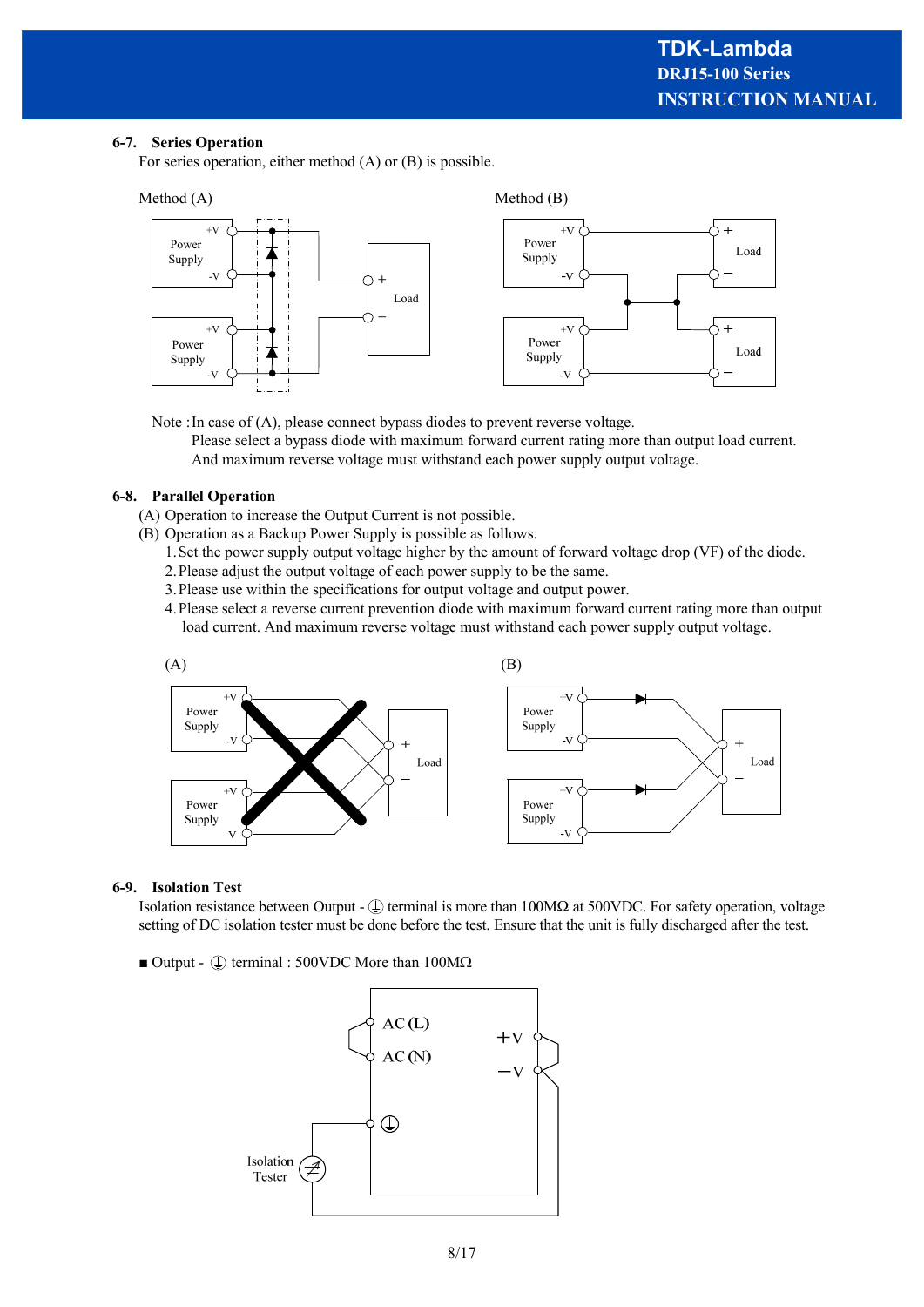#### **6-7. Series Operation**

For series operation, either method (A) or (B) is possible.



Note :In case of (A), please connect bypass diodes to prevent reverse voltage.

Please select a bypass diode with maximum forward current rating more than output load current. And maximum reverse voltage must withstand each power supply output voltage.

#### **6-8. Parallel Operation**

- (A) Operation to increase the Output Current is not possible.
- (B) Operation as a Backup Power Supply is possible as follows.
	- 1.Set the power supply output voltage higher by the amount of forward voltage drop (VF) of the diode.
	- 2.Please adjust the output voltage of each power supply to be the same.
	- 3.Please use within the specifications for output voltage and output power.
	- 4.Please select a reverse current prevention diode with maximum forward current rating more than output load current. And maximum reverse voltage must withstand each power supply output voltage.



#### **6-9. Isolation Test**

Isolation resistance between Output -  $\mathcal{L}$  terminal is more than 100MΩ at 500VDC. For safety operation, voltage setting of DC isolation tester must be done before the test. Ensure that the unit is fully discharged after the test.

 $\blacksquare$  Output -  $\lhd$  terminal : 500VDC More than 100M $\Omega$ 

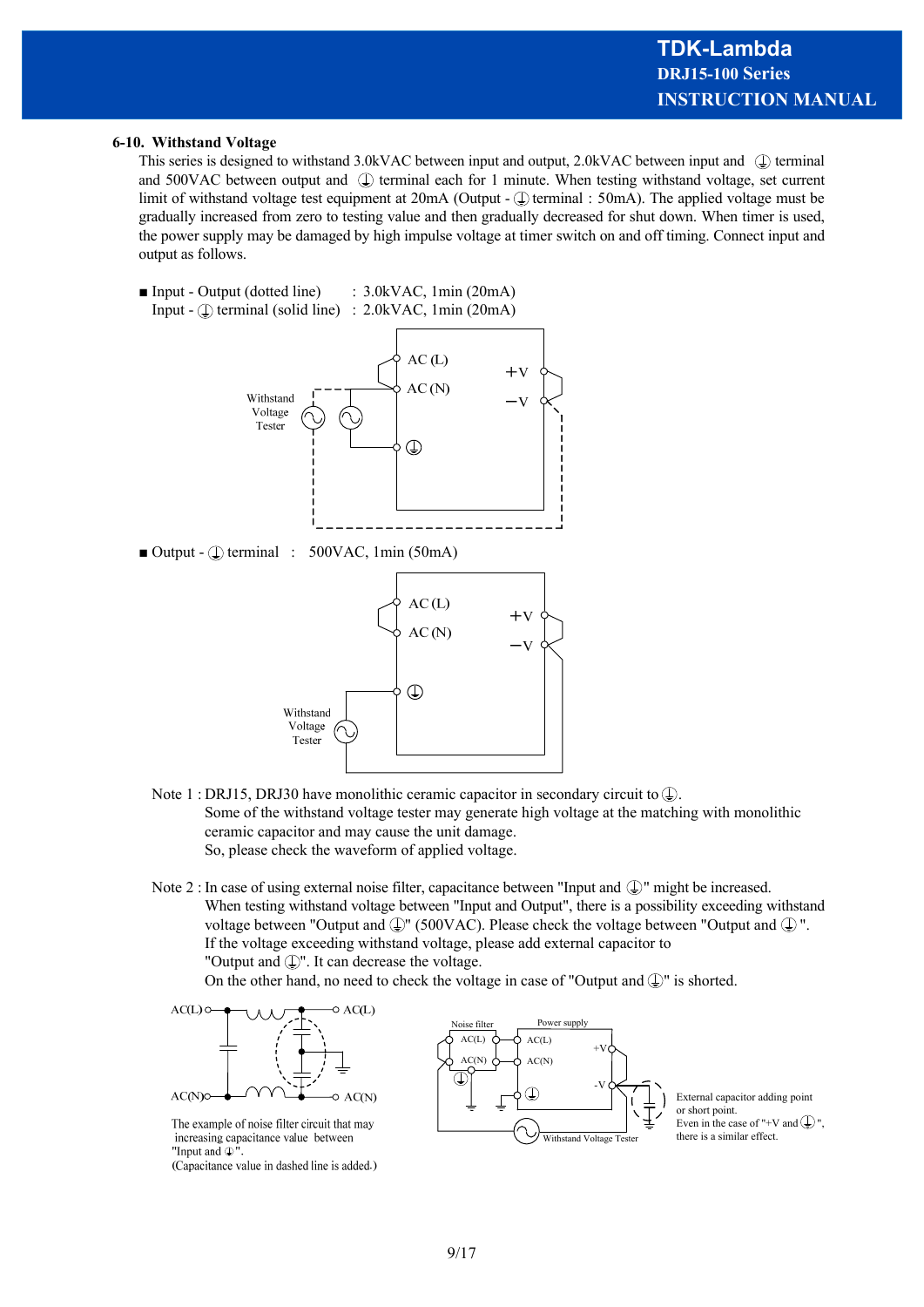#### **6-10. Withstand Voltage**

This series is designed to withstand 3.0kVAC between input and output, 2.0kVAC between input and  $\mathbb Q$  terminal and 500VAC between output and  $\bigoplus$  terminal each for 1 minute. When testing withstand voltage, set current limit of withstand voltage test equipment at  $20mA$  (Output -  $\mathbb Q$ ) terminal :  $50mA$ ). The applied voltage must be gradually increased from zero to testing value and then gradually decreased for shut down. When timer is used, the power supply may be damaged by high impulse voltage at timer switch on and off timing. Connect input and output as follows.

■ Input - Output (dotted line) : 3.0kVAC, 1min (20mA) Input -  $\circled{1}$  terminal (solid line) : 2.0kVAC, 1min (20mA)



 $\blacksquare$  Output -  $\footnotesize\textcircled{\tiny\text{I}}$  terminal : 500VAC, 1min (50mA)



- Note 1 : DRJ15, DRJ30 have monolithic ceramic capacitor in secondary circuit to  $\mathbb Q$ . Some of the withstand voltage tester may generate high voltage at the matching with monolithic ceramic capacitor and may cause the unit damage. So, please check the waveform of applied voltage.
- Note 2 : In case of using external noise filter, capacitance between "Input and  $\mathbb{Q}$ " might be increased. When testing withstand voltage between "Input and Output", there is a possibility exceeding withstand voltage between "Output and  $\mathbb{Q}$ " (500VAC). Please check the voltage between "Output and  $\mathbb{Q}$ ". If the voltage exceeding withstand voltage, please add external capacitor to "Output and  $\mathbb{Q}$ ". It can decrease the voltage.

On the other hand, no need to check the voltage in case of "Output and  $\mathbb{Q}$ " is shorted.

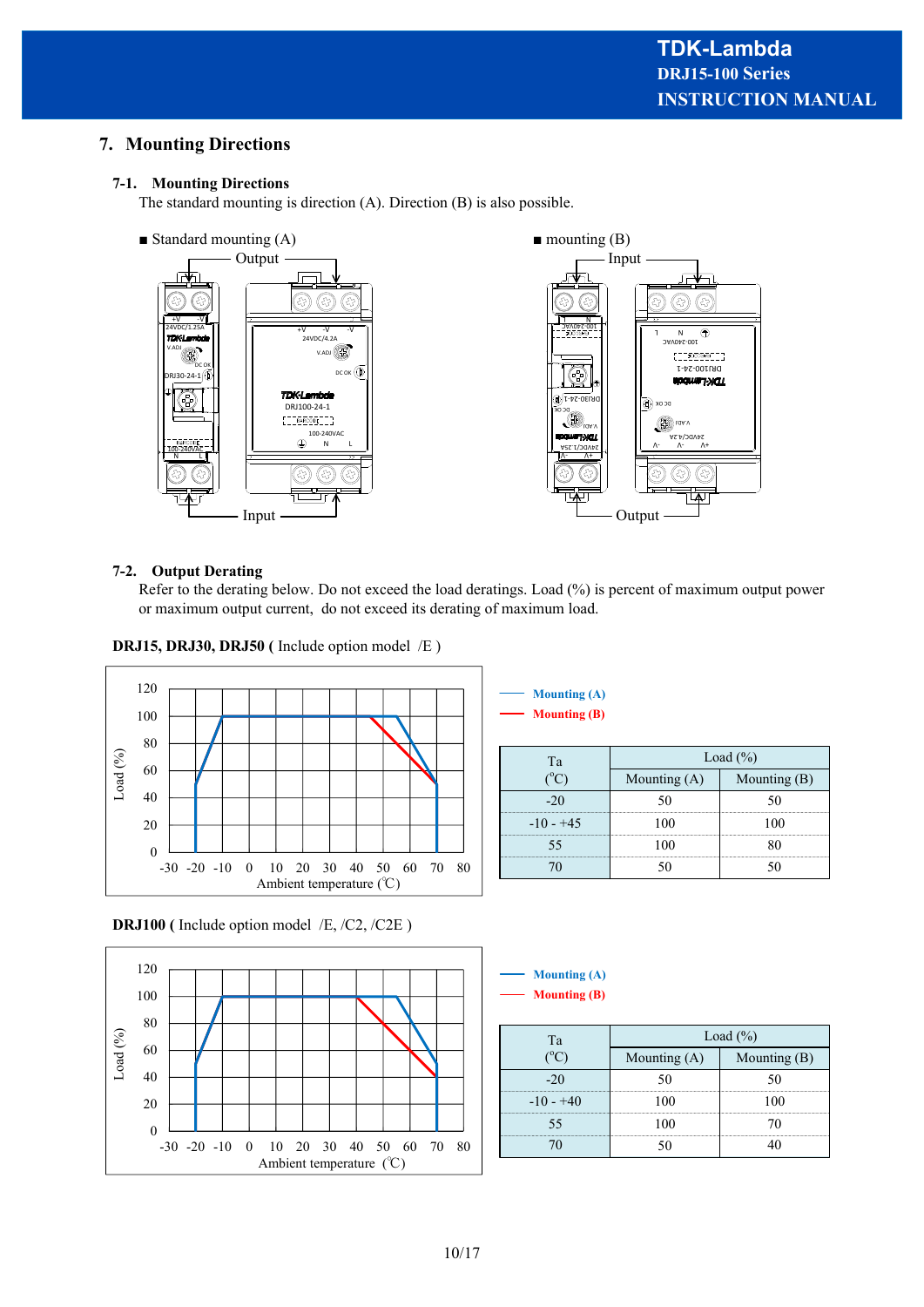# **7. Mounting Directions**

#### **7-1. Mounting Directions**

The standard mounting is direction (A). Direction (B) is also possible.



#### **7-2. Output Derating**

Refer to the derating below. Do not exceed the load deratings. Load (%) is percent of maximum output power or maximum output current, do not exceed its derating of maximum load.

**DRJ15, DRJ30, DRJ50 (** Include option model /E )



#### **Mounting (B) Mounting (A)**

| Tа          | Load $(\% )$ |            |
|-------------|--------------|------------|
|             | Mounting (   | Mounting ( |
|             |              |            |
| $-10 - +45$ |              |            |
|             |              |            |
|             |              |            |

**DRJ100 (** Include option model /E, /C2, /C2E )



**Mounting (B) Mounting (A)**

| Tа          | Load $(\% )$   |                |
|-------------|----------------|----------------|
|             | Mounting $(A)$ | Mounting $(B)$ |
| -20         |                |                |
| $-10 - +40$ |                |                |
|             |                |                |
|             |                |                |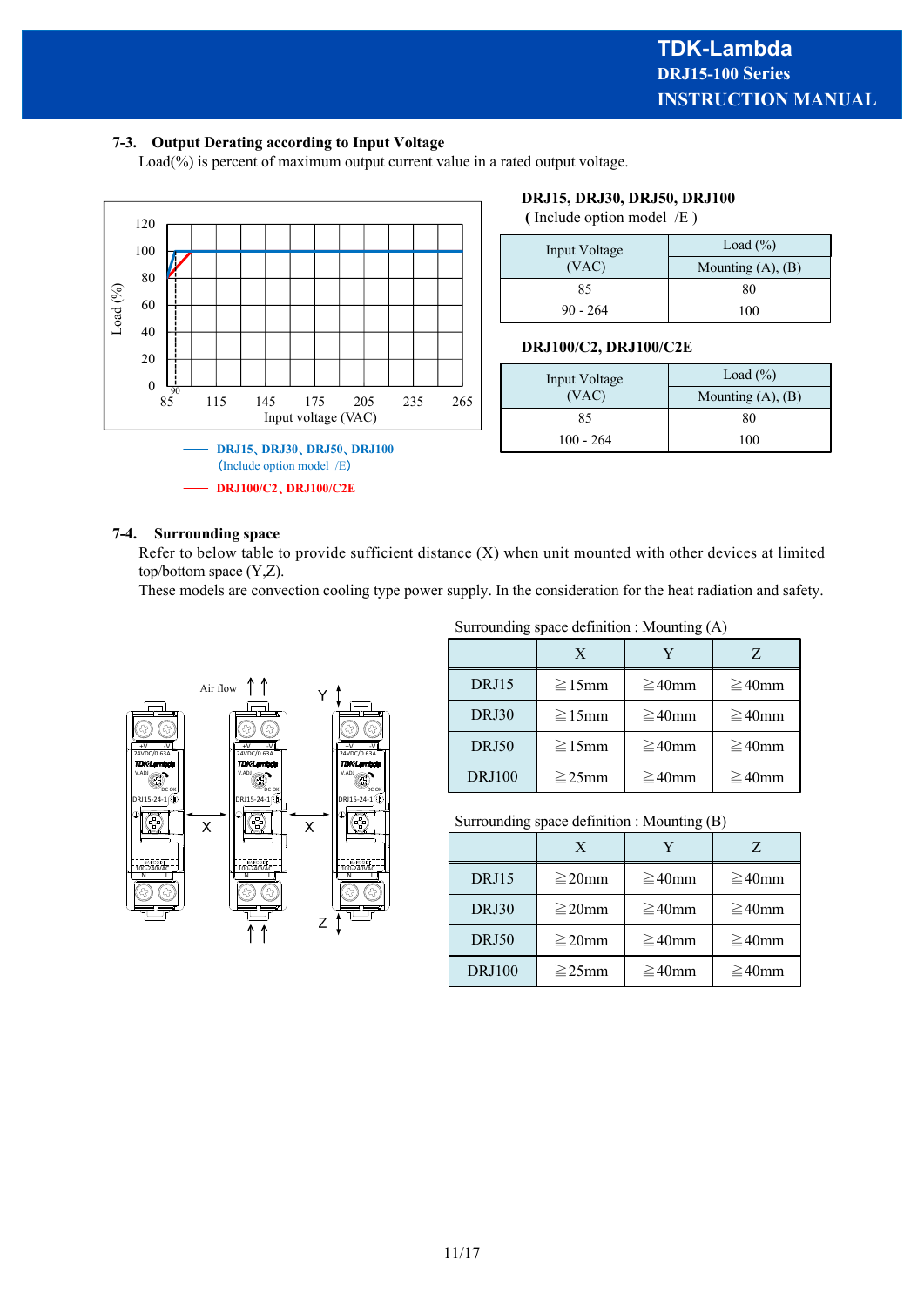#### **7-3. Output Derating according to Input Voltage**

Load(%) is percent of maximum output current value in a rated output voltage.



#### **DRJ15, DRJ30, DRJ50, DRJ100**

 **(** Include option model /E )

| Input Voltage | Load $(\% )$           |
|---------------|------------------------|
| (VAC)         | Mounting $(A)$ , $(B)$ |
|               |                        |
| $90 - 264$    |                        |

#### **DRJ100/C2, DRJ100/C2E**

| Input Voltage | Load $(\% )$           |
|---------------|------------------------|
| (VAC)         | Mounting $(A)$ , $(B)$ |
| 85            |                        |
| 100 - 264     |                        |

#### **7-4. Surrounding space**

Refer to below table to provide sufficient distance (X) when unit mounted with other devices at limited top/bottom space (Y,Z).

These models are convection cooling type power supply. In the consideration for the heat radiation and safety.



#### Surrounding space definition : Mounting (A)

|               | X            |              | Z            |
|---------------|--------------|--------------|--------------|
| DRJ15         | $\geq 15$ mm | $\geq 40$ mm | $\geq 40$ mm |
| DRJ30         | $\geq 15$ mm | $\geq 40$ mm | $\geq 40$ mm |
| <b>DRJ50</b>  | $\geq$ 15mm  | $\geq 40$ mm | $\geq 40$ mm |
| <b>DRJ100</b> | $\geq$ 25mm  | $\geq 40$ mm | $\geq 40$ mm |

Surrounding space definition : Mounting (B)

|               | X           |              |              |
|---------------|-------------|--------------|--------------|
| DRJ15         | $\geq$ 20mm | $\geq 40$ mm | $\geq 40$ mm |
| DRJ30         | $\geq$ 20mm | $\geq 40$ mm | $\geq 40$ mm |
| DRJ50         | $\geq$ 20mm | $\geq 40$ mm | $\geq 40$ mm |
| <b>DRJ100</b> | $\geq$ 25mm | $\geq 40$ mm | $\geq 40$ mm |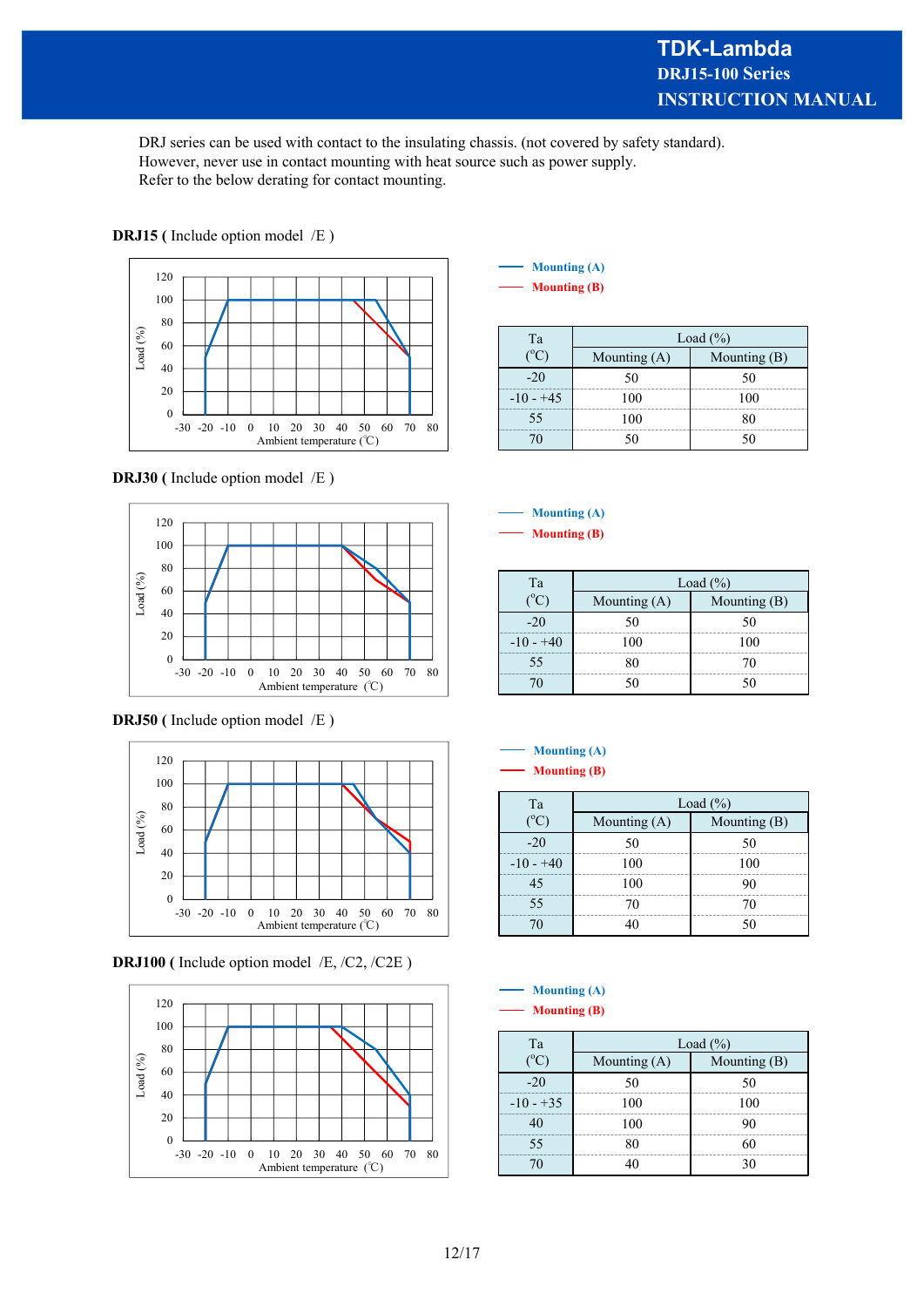DRJ series can be used with contact to the insulating chassis. (not covered by safety standard). However, never use in contact mounting with heat source such as power supply. Refer to the below derating for contact mounting.



# **DRJ15** (Include option model /E)

#### **DRJ30** (Include option model /E)



**DRJ50** (Include option model /E)



**DRJ100 (** Include option model /E, /C2, /C2E )



| <b>Mounting (A)</b> |
|---------------------|
| <b>Mounting (B)</b> |

| Ľа | Load $\frac{6}{6}$ |              |
|----|--------------------|--------------|
|    | Mounting $(A)$     | Mounting (B) |
|    |                    |              |
|    |                    |              |
|    |                    |              |
|    |                    |              |

#### **Mounting (B) Mounting (A)**

| Tа         | Load $(\% )$   |              |
|------------|----------------|--------------|
|            | Mounting $(A)$ | Mounting (B) |
|            |                |              |
| $-10 - +4$ |                |              |
|            |                |              |
|            |                |              |

#### **Mounting (A)**

**Mounting (B)**

| ľэ       | Load $(\% )$ |            |
|----------|--------------|------------|
|          | Mounting (   | Mounting ( |
|          |              |            |
| $10 - -$ |              |            |
|          |              |            |
|          |              |            |
|          |              |            |

| <b>Mounting (A)</b> |
|---------------------|
| <b>Mounting (B)</b> |

| Та        | Load $(\% )$ |          |
|-----------|--------------|----------|
|           | Mounting (A  | Mounting |
|           |              |          |
| -10 - +35 |              |          |
|           |              |          |
|           |              |          |
|           |              |          |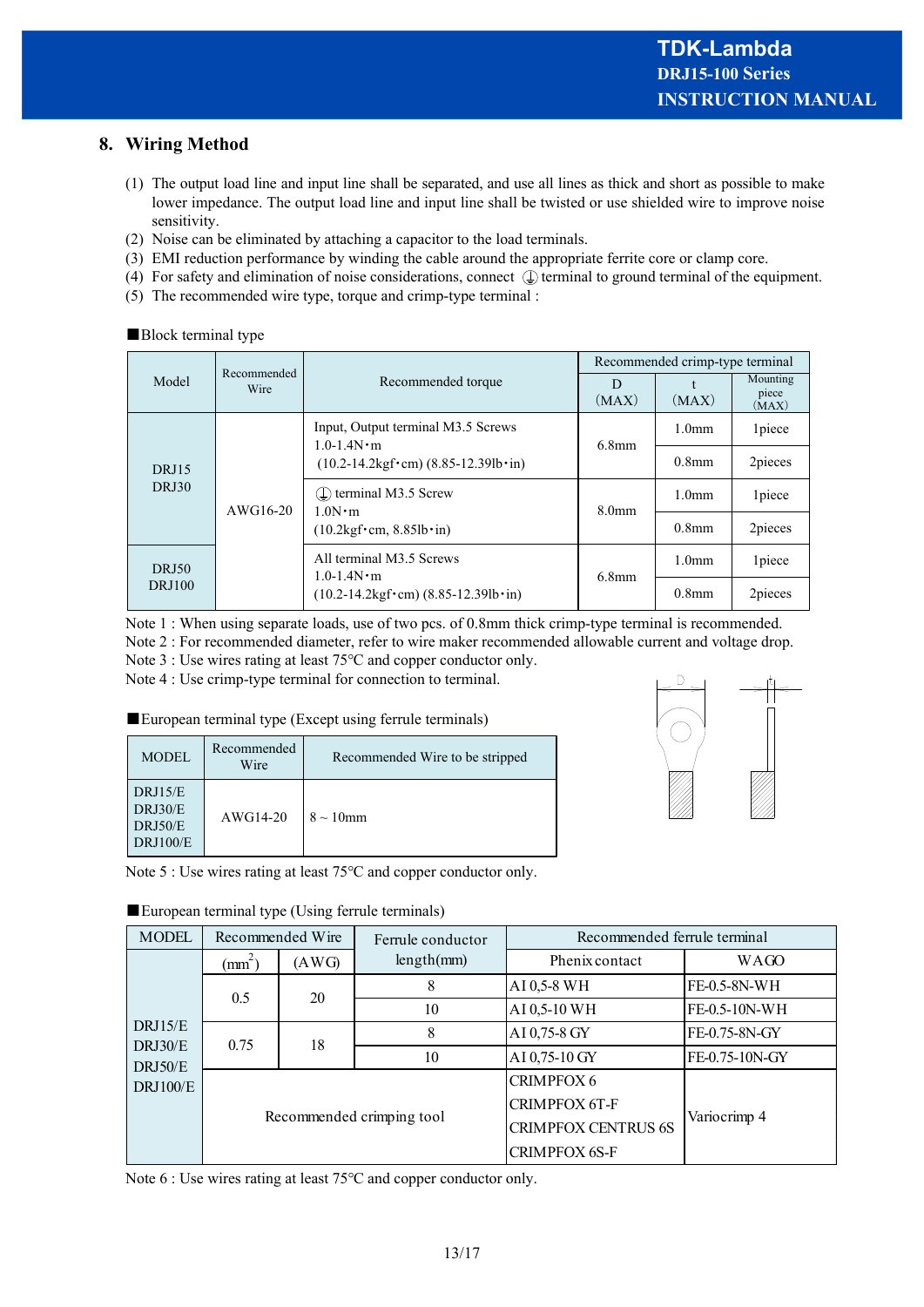# **8. Wiring Method**

- (1) The output load line and input line shall be separated, and use all lines as thick and short as possible to make lower impedance. The output load line and input line shall be twisted or use shielded wire to improve noise sensitivity.
- (2) Noise can be eliminated by attaching a capacitor to the load terminals.
- (3) EMI reduction performance by winding the cable around the appropriate ferrite core or clamp core.
- (4) For safety and elimination of noise considerations, connect  $\mathbb Q$  terminal to ground terminal of the equipment.
- (5) The recommended wire type, torque and crimp-type terminal :

| Model                         | Recommended<br>Wire | Recommended torque                                                                  | Recommended crimp-type terminal |                   |                            |
|-------------------------------|---------------------|-------------------------------------------------------------------------------------|---------------------------------|-------------------|----------------------------|
|                               |                     |                                                                                     | D<br>(MAX)                      | (MAX)             | Mounting<br>piece<br>(MAX) |
| <b>DRJ15</b><br><b>DRJ30</b>  | AWG16-20            | Input, Output terminal M3.5 Screws<br>$1.0 - 1.4 N \cdot m$                         | $6.8$ mm                        | 1.0 <sub>mm</sub> | 1piece                     |
|                               |                     | $(10.2-14.2\text{kgf}\cdot\text{cm})$ (8.85-12.39lb $\cdot$ in)                     |                                 | 0.8 <sub>mm</sub> | 2pieces                    |
|                               |                     | $(\perp)$ terminal M3.5 Screw<br>$1.0N \cdot m$                                     | 8.0 <sub>mm</sub>               | 1.0 <sub>mm</sub> | 1piece                     |
|                               |                     | $(10.2 \text{kgf} \cdot \text{cm}, 8.85 \text{lb} \cdot \text{in})$                 |                                 | 0.8 <sub>mm</sub> | 2pieces                    |
| <b>DRJ50</b><br><b>DRJ100</b> |                     | All terminal M3.5 Screws<br>$1.0 - 1.4 N \cdot m$                                   | $6.8$ mm                        | 1.0 <sub>mm</sub> | 1piece                     |
|                               |                     | $(10.2 - 14.2 \text{kgf} \cdot \text{cm}) (8.85 - 12.39 \text{lb} \cdot \text{in})$ |                                 | 0.8 <sub>mm</sub> | 2pieces                    |

### ■Block terminal type

Note 1 : When using separate loads, use of two pcs. of 0.8mm thick crimp-type terminal is recommended. Note 2 : For recommended diameter, refer to wire maker recommended allowable current and voltage drop. Note 3 : Use wires rating at least 75℃ and copper conductor only.

Note 4 : Use crimp-type terminal for connection to terminal.

#### ■European terminal type (Except using ferrule terminals)

| <b>MODEL</b>                                     | Recommended<br>Wire | Recommended Wire to be stripped |
|--------------------------------------------------|---------------------|---------------------------------|
| DRJ15/E<br>DRJ30/E<br>DRJ50/E<br><b>DRJ100/E</b> | AWG14-20            | $8 \sim 10$ mm                  |



Note 5 : Use wires rating at least 75℃ and copper conductor only.

| <b>MODEL</b>                                     | Recommended Wire              |       | Ferrule conductor | Recommended ferrule terminal |                |  |
|--------------------------------------------------|-------------------------------|-------|-------------------|------------------------------|----------------|--|
| DRJ15/E<br>DRJ30/E<br>DRJ50/E<br><b>DRJ100/E</b> | $\text{(mm}^\text{-}\text{)}$ | (AWG) | length(mm)        | Phenix contact               | <b>WAGO</b>    |  |
|                                                  | 0.5                           | 20    | 8                 | AI 0,5-8 WH                  | FE-0.5-8N-WH   |  |
|                                                  |                               |       | 10                | AI 0,5-10 WH                 | FE-0.5-10N-WH  |  |
|                                                  | 0.75                          | 18    | 8                 | AI 0,75-8 GY                 | FE-0.75-8N-GY  |  |
|                                                  |                               |       | 10                | AI 0,75-10 GY                | FE-0.75-10N-GY |  |
|                                                  | Recommended crimping tool     |       |                   | <b>CRIMPFOX 6</b>            | Variocrimp 4   |  |
|                                                  |                               |       |                   | <b>CRIMPFOX 6T-F</b>         |                |  |
|                                                  |                               |       |                   | <b>CRIMPFOX CENTRUS 6S</b>   |                |  |
|                                                  |                               |       |                   | <b>CRIMPFOX 6S-F</b>         |                |  |

#### ■European terminal type (Using ferrule terminals)

Note 6 : Use wires rating at least 75℃ and copper conductor only.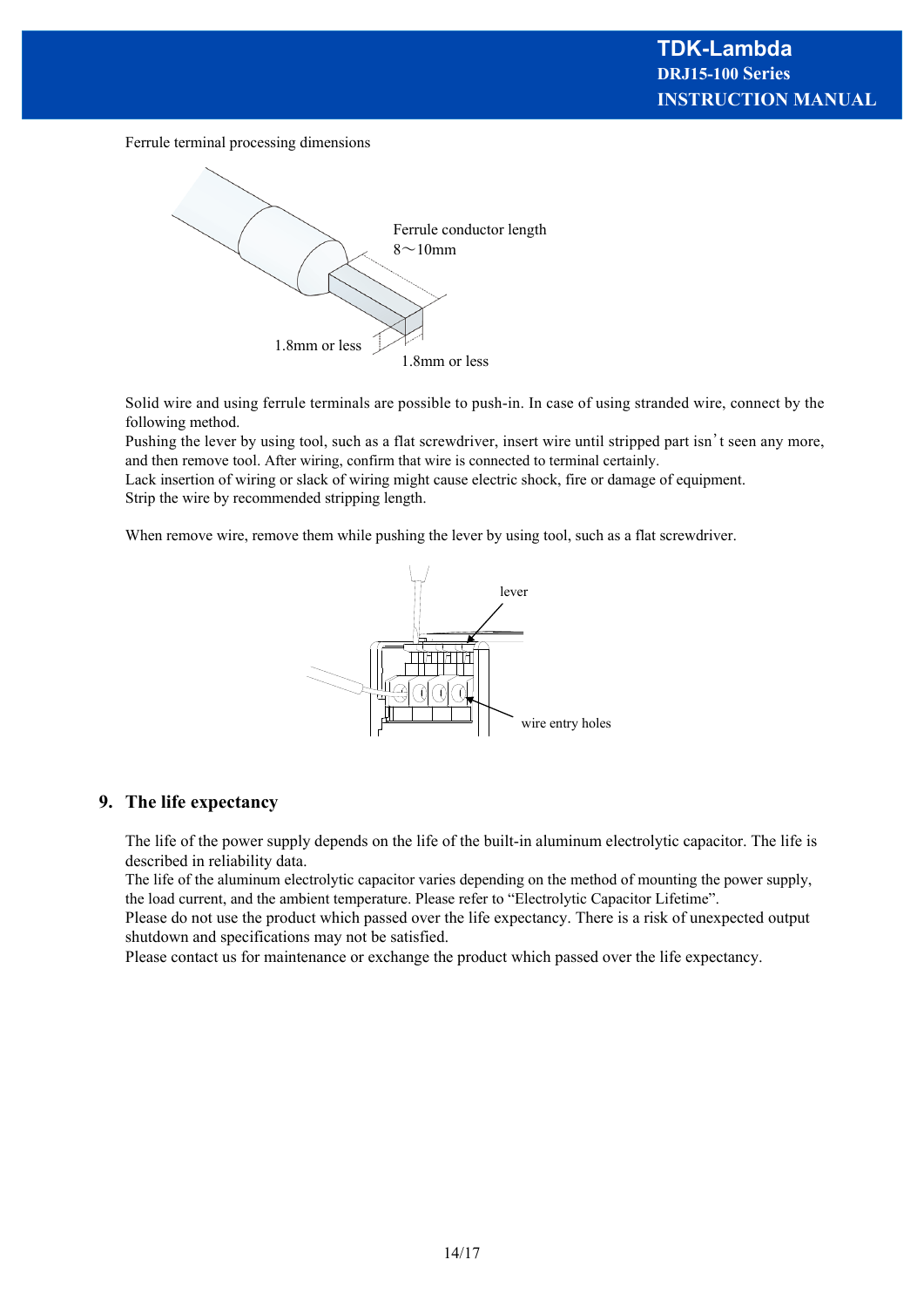Ferrule terminal processing dimensions



Solid wire and using ferrule terminals are possible to push-in. In case of using stranded wire, connect by the following method.

Pushing the lever by using tool, such as a flat screwdriver, insert wire until stripped part isn't seen any more, and then remove tool. After wiring, confirm that wire is connected to terminal certainly.

Lack insertion of wiring or slack of wiring might cause electric shock, fire or damage of equipment. Strip the wire by recommended stripping length.

When remove wire, remove them while pushing the lever by using tool, such as a flat screwdriver.



#### **9. The life expectancy**

The life of the power supply depends on the life of the built-in aluminum electrolytic capacitor. The life is described in reliability data.

The life of the aluminum electrolytic capacitor varies depending on the method of mounting the power supply, the load current, and the ambient temperature. Please refer to "Electrolytic Capacitor Lifetime".

Please do not use the product which passed over the life expectancy. There is a risk of unexpected output shutdown and specifications may not be satisfied.

Please contact us for maintenance or exchange the product which passed over the life expectancy.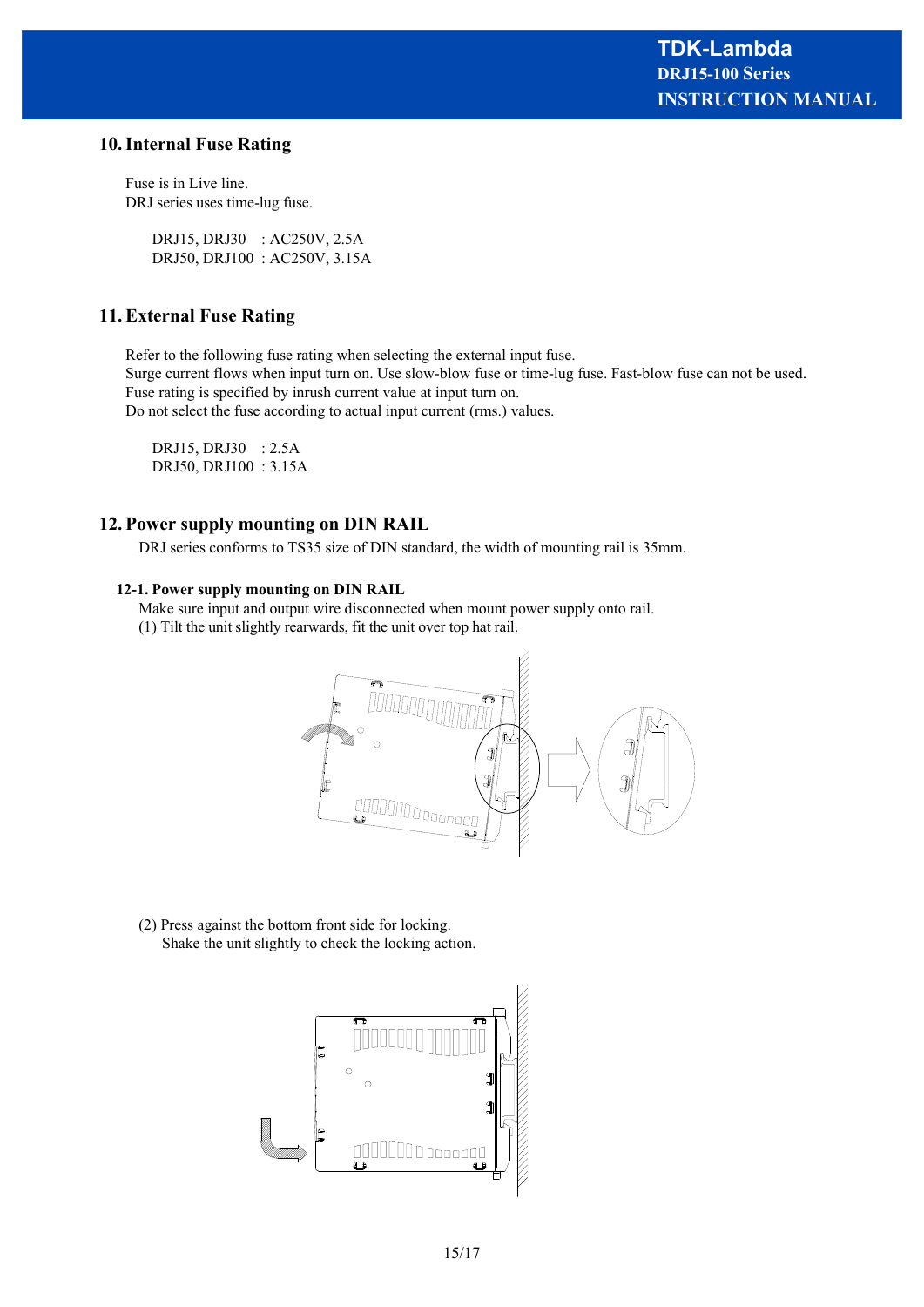#### **10. Internal Fuse Rating**

Fuse is in Live line. DRJ series uses time-lug fuse.

> DRJ15, DRJ30 : AC250V, 2.5A DRJ50, DRJ100 : AC250V, 3.15A

#### **11. External Fuse Rating**

Refer to the following fuse rating when selecting the external input fuse.

Surge current flows when input turn on. Use slow-blow fuse or time-lug fuse. Fast-blow fuse can not be used. Fuse rating is specified by inrush current value at input turn on.

Do not select the fuse according to actual input current (rms.) values.

DRJ15, DRJ30 : 2.5A DRJ50, DRJ100 : 3.15A

#### **12. Power supply mounting on DIN RAIL**

DRJ series conforms to TS35 size of DIN standard, the width of mounting rail is 35mm.

#### **12-1. Power supply mounting on DIN RAIL**

Make sure input and output wire disconnected when mount power supply onto rail.

(1) Tilt the unit slightly rearwards, fit the unit over top hat rail.



(2) Press against the bottom front side for locking. Shake the unit slightly to check the locking action.

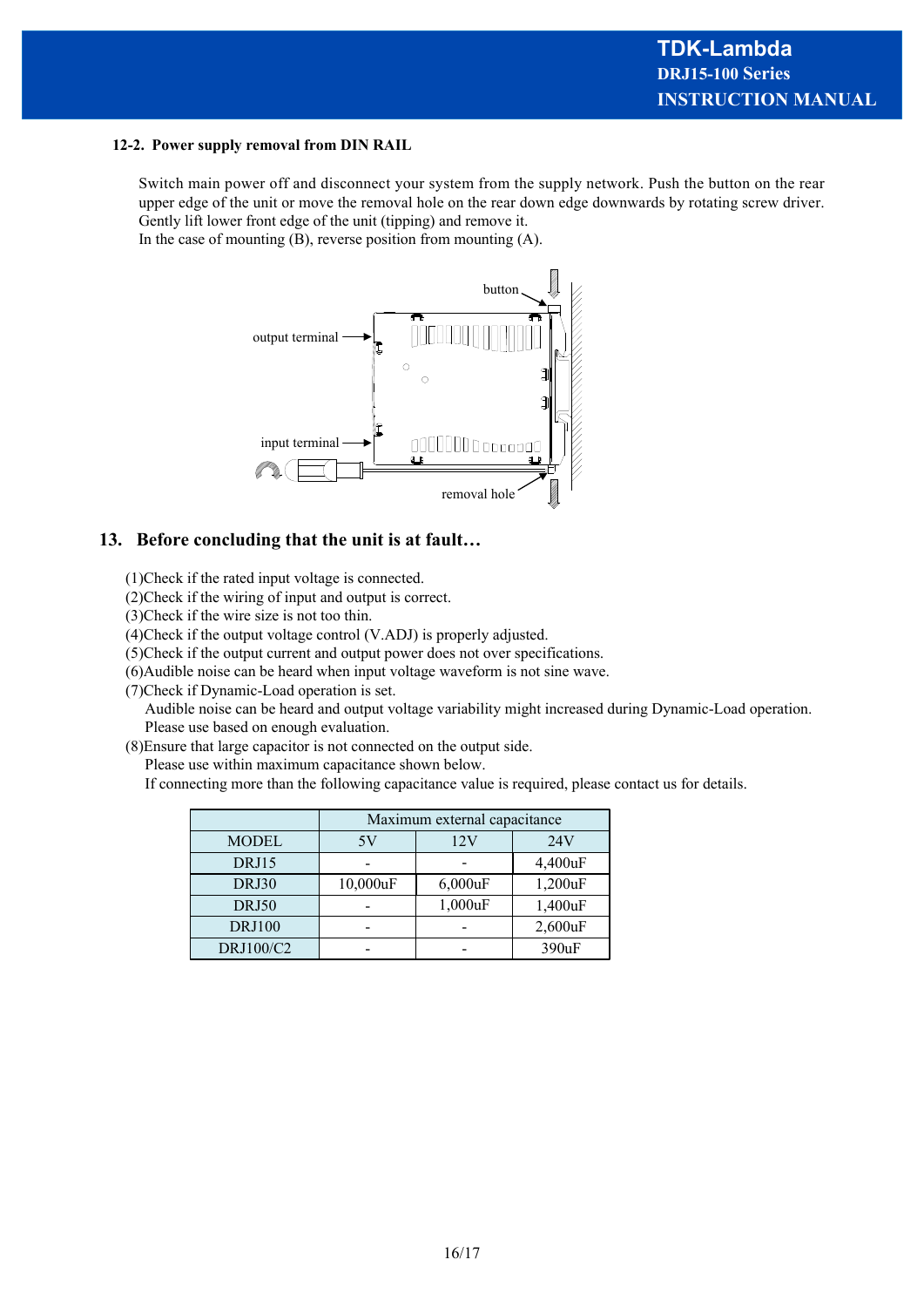#### **12-2. Power supply removal from DIN RAIL**

Switch main power off and disconnect your system from the supply network. Push the button on the rear upper edge of the unit or move the removal hole on the rear down edge downwards by rotating screw driver. Gently lift lower front edge of the unit (tipping) and remove it.

In the case of mounting  $(B)$ , reverse position from mounting  $(A)$ .



#### **13. Before concluding that the unit is at fault…**

(1)Check if the rated input voltage is connected.

(2)Check if the wiring of input and output is correct.

(3)Check if the wire size is not too thin.

(4)Check if the output voltage control (V.ADJ) is properly adjusted.

(5)Check if the output current and output power does not over specifications.

(6)Audible noise can be heard when input voltage waveform is not sine wave.

(7)Check if Dynamic-Load operation is set.

 Audible noise can be heard and output voltage variability might increased during Dynamic-Load operation. Please use based on enough evaluation.

(8)Ensure that large capacitor is not connected on the output side.

Please use within maximum capacitance shown below.

If connecting more than the following capacitance value is required, please contact us for details.

|               | Maximum external capacitance |            |         |  |
|---------------|------------------------------|------------|---------|--|
| <b>MODEL</b>  | 5V                           | 12V        | 24V     |  |
| DRJ15         |                              |            | 4,400uF |  |
| DRJ30         | 10,000uF                     | $6,000$ uF | 1,200uF |  |
| DRJ50         |                              | 1,000uF    | 1,400uF |  |
| <b>DRJ100</b> |                              |            | 2,600uF |  |
| DRJ100/C2     |                              |            | 390uF   |  |